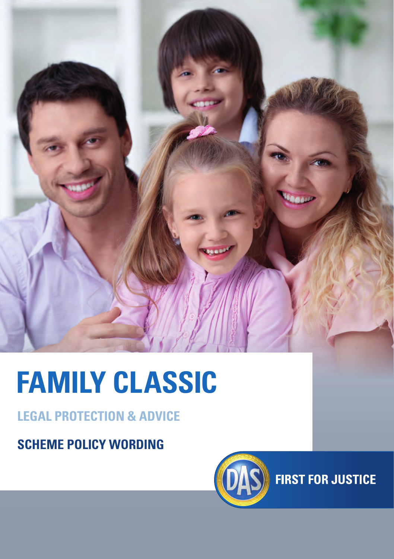

# **FAMILY CLASSIC**

**LEGAL PROTECTION & ADVICE**

**SCHEME POLICY WORDING**



**FIRST FOR JUSTICE**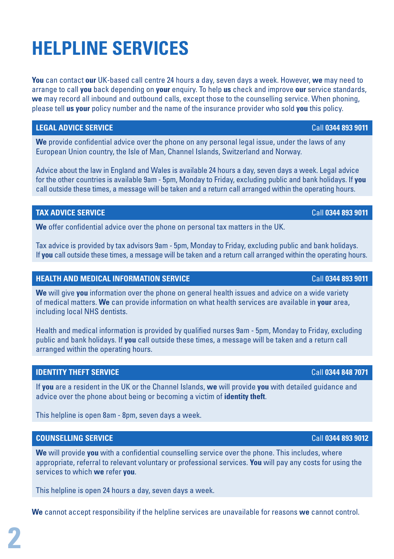# **HELPLINE SERVICES**

**You** can contact **our** UK-based call centre 24 hours a day, seven days a week. However, **we** may need to arrange to call **you** back depending on **your** enquiry. To help **us** check and improve **our** service standards, **we** may record all inbound and outbound calls, except those to the counselling service. When phoning, please tell **us your** policy number and the name of the insurance provider who sold **you** this policy.

### **LEGAL ADVICE SERVICE** Call **0344 893 9011**

**We** provide confidential advice over the phone on any personal legal issue, under the laws of any European Union country, the Isle of Man, Channel Islands, Switzerland and Norway.

Advice about the law in England and Wales is available 24 hours a day, seven days a week. Legal advice for the other countries is available 9am - 5pm, Monday to Friday, excluding public and bank holidays. If **you** call outside these times, a message will be taken and a return call arranged within the operating hours.

### **TAX ADVICE SERVICE** Call **0344 893 9011**

**We** offer confidential advice over the phone on personal tax matters in the UK.

Tax advice is provided by tax advisors 9am - 5pm, Monday to Friday, excluding public and bank holidays. If **you** call outside these times, a message will be taken and a return call arranged within the operating hours.

### **HEALTH AND MEDICAL INFORMATION SERVICE** CALL CONTROL CALL CALL 0344 893 9011

**We** will give **you** information over the phone on general health issues and advice on a wide variety of medical matters. **We** can provide information on what health services are available in **your** area, including local NHS dentists.

Health and medical information is provided by qualified nurses 9am - 5pm, Monday to Friday, excluding public and bank holidays. If **you** call outside these times, a message will be taken and a return call arranged within the operating hours.

### **IDENTITY THEFT SERVICE** Call **0344 848 7071**

If **you** are a resident in the UK or the Channel Islands, **we** will provide **you** with detailed guidance and advice over the phone about being or becoming a victim of **identity theft**.

This helpline is open 8am - 8pm, seven days a week.

### **COUNSELLING SERVICE** Call **0344 893 9012**

**We** will provide **you** with a confidential counselling service over the phone. This includes, where appropriate, referral to relevant voluntary or professional services. **You** will pay any costs for using the services to which **we** refer **you**.

This helpline is open 24 hours a day, seven days a week.

**We** cannot accept responsibility if the helpline services are unavailable for reasons **we** cannot control.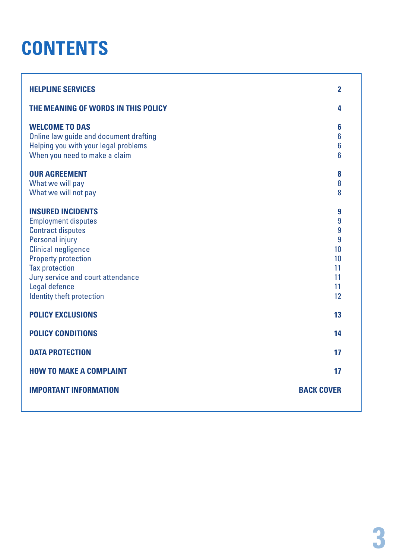## **CONTENTS**

| <b>HELPLINE SERVICES</b>                                                                                                                                                                                                                                                      | $\overline{2}$                                       |
|-------------------------------------------------------------------------------------------------------------------------------------------------------------------------------------------------------------------------------------------------------------------------------|------------------------------------------------------|
| THE MEANING OF WORDS IN THIS POLICY                                                                                                                                                                                                                                           | 4                                                    |
| <b>WELCOME TO DAS</b><br>Online law guide and document drafting<br>Helping you with your legal problems<br>When you need to make a claim                                                                                                                                      | 6<br>6<br>6<br>6                                     |
| <b>OUR AGREEMENT</b><br>What we will pay<br>What we will not pay                                                                                                                                                                                                              | 8<br>8<br>8                                          |
| <b>INSURED INCIDENTS</b><br><b>Employment disputes</b><br><b>Contract disputes</b><br>Personal injury<br><b>Clinical negligence</b><br><b>Property protection</b><br><b>Tax protection</b><br>Jury service and court attendance<br>Legal defence<br>Identity theft protection | 9<br>9<br>9<br>9<br>10<br>10<br>11<br>11<br>11<br>12 |
| <b>POLICY EXCLUSIONS</b>                                                                                                                                                                                                                                                      | 13                                                   |
| <b>POLICY CONDITIONS</b>                                                                                                                                                                                                                                                      | 14                                                   |
| <b>DATA PROTECTION</b>                                                                                                                                                                                                                                                        | 17                                                   |
| <b>HOW TO MAKE A COMPLAINT</b>                                                                                                                                                                                                                                                | 17                                                   |
| <b>IMPORTANT INFORMATION</b>                                                                                                                                                                                                                                                  | <b>BACK COVER</b>                                    |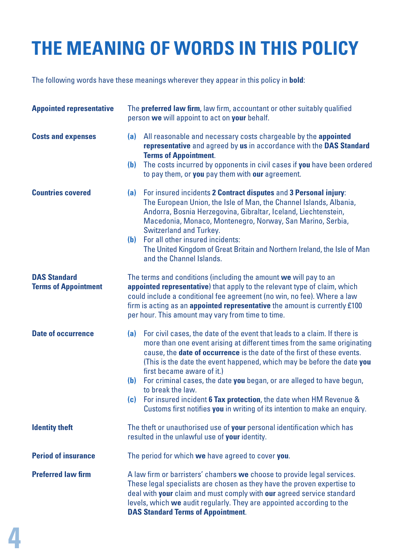## **THE MEANING OF WORDS IN THIS POLICY**

The following words have these meanings wherever they appear in this policy in **bold**:

| <b>Appointed representative</b>                    | The preferred law firm, law firm, accountant or other suitably qualified<br>person we will appoint to act on your behalf.                                                                                                                                                                                                                                   |                                                                                                                                                                                                                                                                                                                                                                                                                                                                                                                                                                                                      |
|----------------------------------------------------|-------------------------------------------------------------------------------------------------------------------------------------------------------------------------------------------------------------------------------------------------------------------------------------------------------------------------------------------------------------|------------------------------------------------------------------------------------------------------------------------------------------------------------------------------------------------------------------------------------------------------------------------------------------------------------------------------------------------------------------------------------------------------------------------------------------------------------------------------------------------------------------------------------------------------------------------------------------------------|
| <b>Costs and expenses</b>                          | (a)<br>(b)                                                                                                                                                                                                                                                                                                                                                  | All reasonable and necessary costs chargeable by the appointed<br>representative and agreed by us in accordance with the DAS Standard<br><b>Terms of Appointment.</b><br>The costs incurred by opponents in civil cases if you have been ordered<br>to pay them, or you pay them with our agreement.                                                                                                                                                                                                                                                                                                 |
| <b>Countries covered</b>                           | (a)                                                                                                                                                                                                                                                                                                                                                         | For insured incidents 2 Contract disputes and 3 Personal injury:<br>The European Union, the Isle of Man, the Channel Islands, Albania,<br>Andorra, Bosnia Herzegovina, Gibraltar, Iceland, Liechtenstein,<br>Macedonia, Monaco, Montenegro, Norway, San Marino, Serbia,<br>Switzerland and Turkey.<br>(b) For all other insured incidents:<br>The United Kingdom of Great Britain and Northern Ireland, the Isle of Man<br>and the Channel Islands.                                                                                                                                                  |
| <b>DAS Standard</b><br><b>Terms of Appointment</b> | The terms and conditions (including the amount we will pay to an<br>appointed representative) that apply to the relevant type of claim, which<br>could include a conditional fee agreement (no win, no fee). Where a law<br>firm is acting as an appointed representative the amount is currently £100<br>per hour. This amount may vary from time to time. |                                                                                                                                                                                                                                                                                                                                                                                                                                                                                                                                                                                                      |
| Date of occurrence                                 | (a)<br>(c)                                                                                                                                                                                                                                                                                                                                                  | For civil cases, the date of the event that leads to a claim. If there is<br>more than one event arising at different times from the same originating<br>cause, the <b>date of occurrence</b> is the date of the first of these events.<br>(This is the date the event happened, which may be before the date you<br>first became aware of it.)<br>(b) For criminal cases, the date you began, or are alleged to have begun,<br>to break the law.<br>For insured incident 6 Tax protection, the date when HM Revenue &<br>Customs first notifies you in writing of its intention to make an enquiry. |
| <b>Identity theft</b>                              | The theft or unauthorised use of your personal identification which has<br>resulted in the unlawful use of your identity.                                                                                                                                                                                                                                   |                                                                                                                                                                                                                                                                                                                                                                                                                                                                                                                                                                                                      |
| <b>Period of insurance</b>                         |                                                                                                                                                                                                                                                                                                                                                             | The period for which we have agreed to cover you.                                                                                                                                                                                                                                                                                                                                                                                                                                                                                                                                                    |
| <b>Preferred law firm</b>                          | A law firm or barristers' chambers we choose to provide legal services.<br>These legal specialists are chosen as they have the proven expertise to<br>deal with your claim and must comply with our agreed service standard<br>levels, which we audit regularly. They are appointed according to the<br><b>DAS Standard Terms of Appointment.</b>           |                                                                                                                                                                                                                                                                                                                                                                                                                                                                                                                                                                                                      |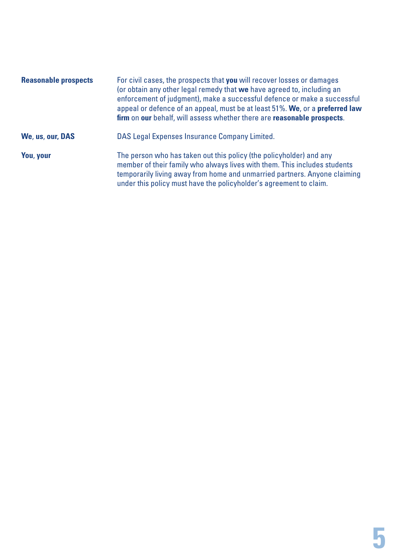| <b>Reasonable prospects</b> | For civil cases, the prospects that you will recover losses or damages<br>(or obtain any other legal remedy that we have agreed to, including an<br>enforcement of judgment), make a successful defence or make a successful<br>appeal or defence of an appeal, must be at least 51%. We, or a preferred law<br>firm on our behalf, will assess whether there are reasonable prospects. |
|-----------------------------|-----------------------------------------------------------------------------------------------------------------------------------------------------------------------------------------------------------------------------------------------------------------------------------------------------------------------------------------------------------------------------------------|
| We, us, our, DAS            | DAS Legal Expenses Insurance Company Limited.                                                                                                                                                                                                                                                                                                                                           |
| You, your                   | The person who has taken out this policy (the policyholder) and any<br>member of their family who always lives with them. This includes students<br>temporarily living away from home and unmarried partners. Anyone claiming<br>under this policy must have the policyholder's agreement to claim.                                                                                     |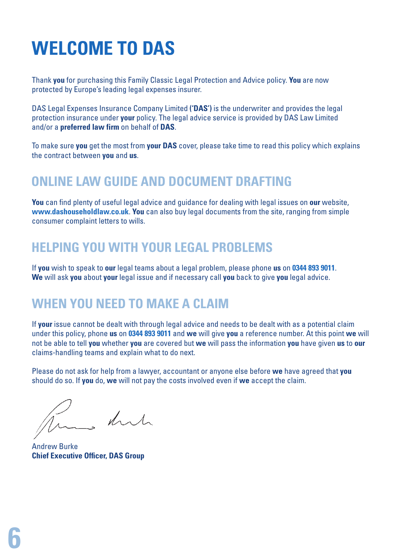## **WELCOME TO DAS**

Thank **you** for purchasing this Family Classic Legal Protection and Advice policy. **You** are now protected by Europe's leading legal expenses insurer.

DAS Legal Expenses Insurance Company Limited **('DAS')** is the underwriter and provides the legal protection insurance under **your** policy. The legal advice service is provided by DAS Law Limited and/or a **preferred law firm** on behalf of **DAS**.

To make sure **you** get the most from **your DAS** cover, please take time to read this policy which explains the contract between **you** and **us**.

### **ONLINE LAW GUIDE AND DOCUMENT DRAFTING**

**You** can find plenty of useful legal advice and guidance for dealing with legal issues on **our** website, **www.dashouseholdlaw.co.uk**. **You** can also buy legal documents from the site, ranging from simple consumer complaint letters to wills.

### **HELPING YOU WITH YOUR LEGAL PROBLEMS**

If **you** wish to speak to **our** legal teams about a legal problem, please phone **us** on **0344 893 9011**. **We** will ask **you** about **your** legal issue and if necessary call **you** back to give **you** legal advice.

### **WHEN YOU NEED TO MAKE A CLAIM**

If **your** issue cannot be dealt with through legal advice and needs to be dealt with as a potential claim under this policy, phone **us** on **0344 893 9011** and **we** will give **you** a reference number. At this point **we** will not be able to tell **you** whether **you** are covered but **we** will pass the information **you** have given **us** to **our** claims-handling teams and explain what to do next.

Please do not ask for help from a lawyer, accountant or anyone else before **we** have agreed that **you** should do so. If **you** do, **we** will not pay the costs involved even if **we** accept the claim.

True due

Andrew Burke **Chief Executive Officer, DAS Group**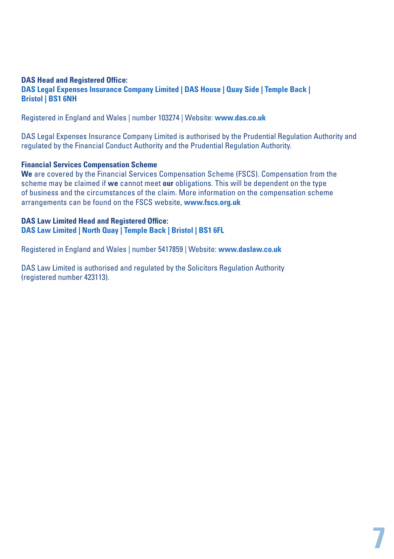### **DAS Head and Registered Office:**

**DAS Legal Expenses Insurance Company Limited | DAS House | Quay Side | Temple Back | Bristol | BS1 6NH**

Registered in England and Wales | number 103274 | Website: **www.das.co.uk**

DAS Legal Expenses Insurance Company Limited is authorised by the Prudential Regulation Authority and regulated by the Financial Conduct Authority and the Prudential Regulation Authority.

### **Financial Services Compensation Scheme**

**We** are covered by the Financial Services Compensation Scheme (FSCS). Compensation from the scheme may be claimed if **we** cannot meet **our** obligations. This will be dependent on the type of business and the circumstances of the claim. More information on the compensation scheme arrangements can be found on the FSCS website, **www.fscs.org.uk**

### **DAS Law Limited Head and Registered Office: DAS Law Limited | North Quay | Temple Back | Bristol | BS1 6FL**

Registered in England and Wales | number 5417859 | Website: **www.daslaw.co.uk**

DAS Law Limited is authorised and regulated by the Solicitors Regulation Authority (registered number 423113).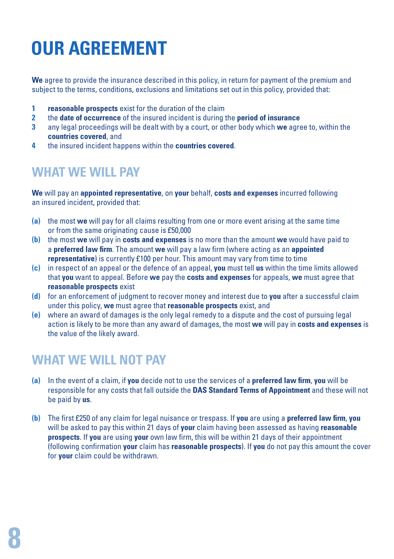## **OUR AGREEMENT**

**We** agree to provide the insurance described in this policy, in return for payment of the premium and subject to the terms, conditions, exclusions and limitations set out in this policy, provided that:

- **1 reasonable prospects** exist for the duration of the claim
- **2** the **date of occurrence** of the insured incident is during the **period of insurance**
- **3** any legal proceedings will be dealt with by a court, or other body which **we** agree to, within the **countries covered**, and
- **4** the insured incident happens within the **countries covered**.

### **WHAT WE WILL PAY**

**We** will pay an **appointed representative**, on **your** behalf, **costs and expenses** incurred following an insured incident, provided that:

- **(a)** the most **we** will pay for all claims resulting from one or more event arising at the same time or from the same originating cause is £50,000
- **(b)** the most **we** will pay in **costs and expenses** is no more than the amount **we** would have paid to a **preferred law firm**. The amount **we** will pay a law firm (where acting as an **appointed representative**) is currently £100 per hour. This amount may vary from time to time
- **(c)** in respect of an appeal or the defence of an appeal, **you** must tell **us** within the time limits allowed that **you** want to appeal. Before **we** pay the **costs and expenses** for appeals, **we** must agree that **reasonable prospects** exist
- **(d)** for an enforcement of judgment to recover money and interest due to **you** after a successful claim under this policy, **we** must agree that **reasonable prospects** exist, and
- **(e)** where an award of damages is the only legal remedy to a dispute and the cost of pursuing legal action is likely to be more than any award of damages, the most **we** will pay in **costs and expenses** is the value of the likely award.

### **WHAT WE WILL NOT PAY**

- **(a)** In the event of a claim, if **you** decide not to use the services of a **preferred law firm**, **you** will be responsible for any costs that fall outside the **DAS Standard Terms of Appointment** and these will not be paid by **us**.
- **(b)** The first £250 of any claim for legal nuisance or trespass. If **you** are using a **preferred law firm**, **you** will be asked to pay this within 21 days of **your** claim having been assessed as having **reasonable prospects**. If **you** are using **your** own law firm, this will be within 21 days of their appointment (following confirmation **your** claim has **reasonable prospects**). If **you** do not pay this amount the cover for **your** claim could be withdrawn.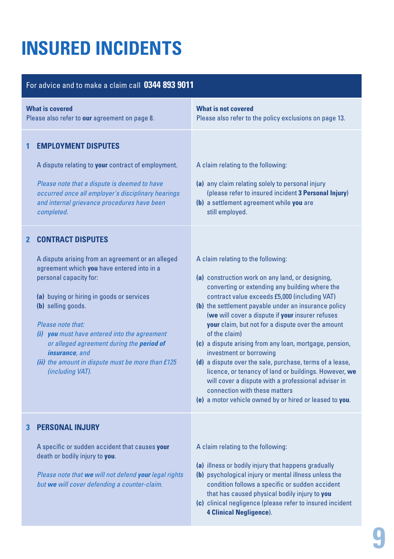## **INSURED INCIDENTS**

### For advice and to make a claim call **0344 893 9011**

| <b>What is covered</b><br>Please also refer to our agreement on page 8.                                                                                                                                                                                                                                                                                                                                                                                       | <b>What is not covered</b><br>Please also refer to the policy exclusions on page 13.                                                                                                                                                                                                                                                                                                                                                                                                                                                                                                                                                                                                                                                      |
|---------------------------------------------------------------------------------------------------------------------------------------------------------------------------------------------------------------------------------------------------------------------------------------------------------------------------------------------------------------------------------------------------------------------------------------------------------------|-------------------------------------------------------------------------------------------------------------------------------------------------------------------------------------------------------------------------------------------------------------------------------------------------------------------------------------------------------------------------------------------------------------------------------------------------------------------------------------------------------------------------------------------------------------------------------------------------------------------------------------------------------------------------------------------------------------------------------------------|
| <b>EMPLOYMENT DISPUTES</b><br>1<br>A dispute relating to your contract of employment.<br>Please note that a dispute is deemed to have<br>occurred once all employer's disciplinary hearings<br>and internal grievance procedures have been<br>completed.                                                                                                                                                                                                      | A claim relating to the following:<br>(a) any claim relating solely to personal injury<br>(please refer to insured incident 3 Personal Injury)<br>(b) a settlement agreement while you are<br>still employed.                                                                                                                                                                                                                                                                                                                                                                                                                                                                                                                             |
| <b>CONTRACT DISPUTES</b><br>$\mathbf{2}$<br>A dispute arising from an agreement or an alleged<br>agreement which you have entered into in a<br>personal capacity for:<br>(a) buying or hiring in goods or services<br>(b) selling goods.<br>Please note that:<br>(i) you must have entered into the agreement<br>or alleged agreement during the period of<br><i>insurance</i> , and<br>(ii) the amount in dispute must be more than £125<br>(including VAT). | A claim relating to the following:<br>(a) construction work on any land, or designing,<br>converting or extending any building where the<br>contract value exceeds £5,000 (including VAT)<br>(b) the settlement payable under an insurance policy<br>(we will cover a dispute if your insurer refuses<br>your claim, but not for a dispute over the amount<br>of the claim)<br>(c) a dispute arising from any loan, mortgage, pension,<br>investment or borrowing<br>(d) a dispute over the sale, purchase, terms of a lease,<br>licence, or tenancy of land or buildings. However, we<br>will cover a dispute with a professional adviser in<br>connection with these matters<br>(e) a motor vehicle owned by or hired or leased to you. |
| <b>PERSONAL INJURY</b><br>3<br>A specific or sudden accident that causes your<br>death or bodily injury to you.<br>Please note that we will not defend your legal rights<br>but we will cover defending a counter-claim.                                                                                                                                                                                                                                      | A claim relating to the following:<br>(a) illness or bodily injury that happens gradually<br>(b) psychological injury or mental illness unless the<br>condition follows a specific or sudden accident<br>that has caused physical bodily injury to you<br>(c) clinical negligence (please refer to insured incident<br><b>4 Clinical Negligence).</b>                                                                                                                                                                                                                                                                                                                                                                                     |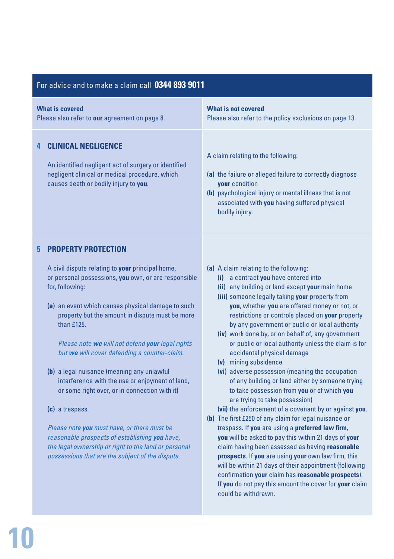| For advice and to make a claim call 0344 893 9011                                                                                                                                                                                                                                                                                                                                                                                                                                                                                                                                                                                                                                                                                                                          |                                                                                                                                                                                                                                                                                                                                                                                                                                                                                                                                                                                                                                                                                                                                                                                                                                                                                                                                                                                                                                                                                                                                                                                                                             |  |
|----------------------------------------------------------------------------------------------------------------------------------------------------------------------------------------------------------------------------------------------------------------------------------------------------------------------------------------------------------------------------------------------------------------------------------------------------------------------------------------------------------------------------------------------------------------------------------------------------------------------------------------------------------------------------------------------------------------------------------------------------------------------------|-----------------------------------------------------------------------------------------------------------------------------------------------------------------------------------------------------------------------------------------------------------------------------------------------------------------------------------------------------------------------------------------------------------------------------------------------------------------------------------------------------------------------------------------------------------------------------------------------------------------------------------------------------------------------------------------------------------------------------------------------------------------------------------------------------------------------------------------------------------------------------------------------------------------------------------------------------------------------------------------------------------------------------------------------------------------------------------------------------------------------------------------------------------------------------------------------------------------------------|--|
| <b>What is covered</b><br>Please also refer to our agreement on page 8.                                                                                                                                                                                                                                                                                                                                                                                                                                                                                                                                                                                                                                                                                                    | <b>What is not covered</b><br>Please also refer to the policy exclusions on page 13.                                                                                                                                                                                                                                                                                                                                                                                                                                                                                                                                                                                                                                                                                                                                                                                                                                                                                                                                                                                                                                                                                                                                        |  |
| <b>CLINICAL NEGLIGENCE</b><br>4<br>An identified negligent act of surgery or identified<br>negligent clinical or medical procedure, which<br>causes death or bodily injury to you.                                                                                                                                                                                                                                                                                                                                                                                                                                                                                                                                                                                         | A claim relating to the following:<br>(a) the failure or alleged failure to correctly diagnose<br>vour condition<br>(b) psychological injury or mental illness that is not<br>associated with you having suffered physical<br>bodily injury.                                                                                                                                                                                                                                                                                                                                                                                                                                                                                                                                                                                                                                                                                                                                                                                                                                                                                                                                                                                |  |
| <b>PROPERTY PROTECTION</b><br>5<br>A civil dispute relating to your principal home,<br>or personal possessions, you own, or are responsible<br>for, following:<br>(a) an event which causes physical damage to such<br>property but the amount in dispute must be more<br>than £125.<br>Please note we will not defend your legal rights<br>but we will cover defending a counter-claim.<br>(b) a legal nuisance (meaning any unlawful<br>interference with the use or enjoyment of land,<br>or some right over, or in connection with it)<br>(c) a trespass.<br>Please note you must have, or there must be<br>reasonable prospects of establishing you have,<br>the legal ownership or right to the land or personal<br>possessions that are the subject of the dispute. | (a) A claim relating to the following:<br>(i) a contract you have entered into<br>(ii) any building or land except your main home<br>(iii) someone legally taking your property from<br>you, whether you are offered money or not, or<br>restrictions or controls placed on your property<br>by any government or public or local authority<br>(iv) work done by, or on behalf of, any government<br>or public or local authority unless the claim is for<br>accidental physical damage<br>(v) mining subsidence<br>(vi) adverse possession (meaning the occupation<br>of any building or land either by someone trying<br>to take possession from you or of which you<br>are trying to take possession)<br>(vii) the enforcement of a covenant by or against you.<br>(b) The first £250 of any claim for legal nuisance or<br>trespass. If you are using a preferred law firm,<br>you will be asked to pay this within 21 days of your<br>claim having been assessed as having reasonable<br>prospects. If you are using your own law firm, this<br>will be within 21 days of their appointment (following<br>confirmation your claim has reasonable prospects).<br>If you do not pay this amount the cover for your claim |  |

could be withdrawn.

# **10**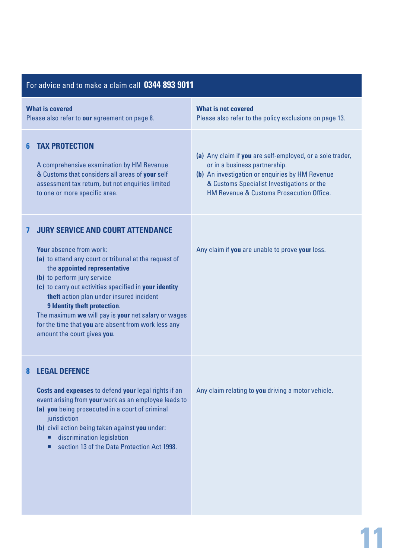| For advice and to make a claim call 0344 893 9011                                                                                                                                                                                                                                                                                                                                                                                                                                                                       |                                                                                                                                                                                                                                         |  |
|-------------------------------------------------------------------------------------------------------------------------------------------------------------------------------------------------------------------------------------------------------------------------------------------------------------------------------------------------------------------------------------------------------------------------------------------------------------------------------------------------------------------------|-----------------------------------------------------------------------------------------------------------------------------------------------------------------------------------------------------------------------------------------|--|
| <b>What is covered</b><br>Please also refer to our agreement on page 8.                                                                                                                                                                                                                                                                                                                                                                                                                                                 | <b>What is not covered</b><br>Please also refer to the policy exclusions on page 13.                                                                                                                                                    |  |
| <b>TAX PROTECTION</b><br>6<br>A comprehensive examination by HM Revenue<br>& Customs that considers all areas of your self<br>assessment tax return, but not enquiries limited<br>to one or more specific area.                                                                                                                                                                                                                                                                                                         | (a) Any claim if you are self-employed, or a sole trader,<br>or in a business partnership.<br>(b) An investigation or enquiries by HM Revenue<br>& Customs Specialist Investigations or the<br>HM Revenue & Customs Prosecution Office. |  |
| <b>JURY SERVICE AND COURT ATTENDANCE</b><br>$\overline{\mathbf{z}}$<br><b>Your absence from work:</b><br>(a) to attend any court or tribunal at the request of<br>the appointed representative<br>(b) to perform jury service<br>(c) to carry out activities specified in your identity<br>theft action plan under insured incident<br><b>9 Identity theft protection.</b><br>The maximum we will pay is your net salary or wages<br>for the time that you are absent from work less any<br>amount the court gives you. | Any claim if you are unable to prove your loss.                                                                                                                                                                                         |  |
| <b>LEGAL DEFENCE</b><br>8<br><b>Costs and expenses</b> to defend your legal rights if an<br>event arising from your work as an employee leads to<br>(a) you being prosecuted in a court of criminal<br>jurisdiction<br>(b) civil action being taken against you under:<br>discrimination legislation<br>section 13 of the Data Protection Act 1998.<br>٠                                                                                                                                                                | Any claim relating to you driving a motor vehicle.                                                                                                                                                                                      |  |

# **11**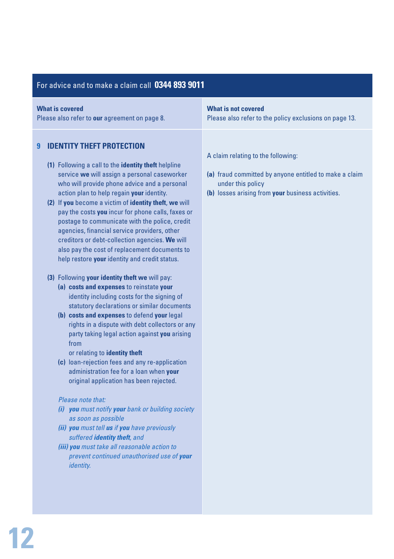#### For advice and to make a claim call **0344 893 9011**

#### **What is covered**

Please also refer to **our** agreement on page 8.

#### **9 IDENTITY THEFT PROTECTION**

- **(1)** Following a call to the **identity theft** helpline service **we** will assign a personal caseworker who will provide phone advice and a personal action plan to help regain **your** identity.
- **(2)** If **you** become a victim of **identity theft**, **we** will pay the costs **you** incur for phone calls, faxes or postage to communicate with the police, credit agencies, financial service providers, other creditors or debt-collection agencies. **We** will also pay the cost of replacement documents to help restore **your** identity and credit status.
- **(3)** Following **your identity theft we** will pay:
	- **(a) costs and expenses** to reinstate **your** identity including costs for the signing of statutory declarations or similar documents
	- **(b) costs and expenses** to defend **your** legal rights in a dispute with debt collectors or any party taking legal action against **you** arising from
		- or relating to **identity theft**
	- **(c)** loan-rejection fees and any re-application administration fee for a loan when **your** original application has been rejected.

#### *Please note that:*

- *(i) you must notify your bank or building society as soon as possible*
- *(ii) you must tell us if you have previously suffered identity theft, and*
- *(iii) you must take all reasonable action to prevent continued unauthorised use of your identity.*

#### **What is not covered**

Please also refer to the policy exclusions on page 13.

A claim relating to the following:

- **(a)** fraud committed by anyone entitled to make a claim under this policy
- **(b)** losses arising from **your** business activities.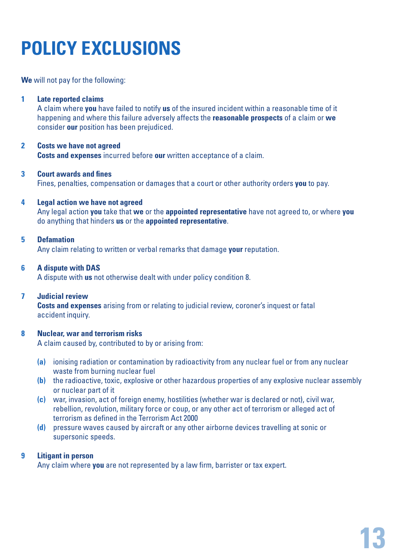# **POLICY EXCLUSIONS**

**We** will not pay for the following:

### **1 Late reported claims**

A claim where **you** have failed to notify **us** of the insured incident within a reasonable time of it happening and where this failure adversely affects the **reasonable prospects** of a claim or **we** consider **our** position has been prejudiced.

### **2 Costs we have not agreed**

**Costs and expenses** incurred before **our** written acceptance of a claim.

### **3 Court awards and fines**

Fines, penalties, compensation or damages that a court or other authority orders **you** to pay.

### **4 Legal action we have not agreed**

Any legal action **you** take that **we** or the **appointed representative** have not agreed to, or where **you** do anything that hinders **us** or the **appointed representative**.

#### **5 Defamation**

Any claim relating to written or verbal remarks that damage **your** reputation.

### **6 A dispute with DAS**

A dispute with **us** not otherwise dealt with under policy condition 8.

### **7 Judicial review**

**Costs and expenses** arising from or relating to judicial review, coroner's inquest or fatal accident inquiry.

### **8 Nuclear, war and terrorism risks**

A claim caused by, contributed to by or arising from:

- **(a)** ionising radiation or contamination by radioactivity from any nuclear fuel or from any nuclear waste from burning nuclear fuel
- **(b)** the radioactive, toxic, explosive or other hazardous properties of any explosive nuclear assembly or nuclear part of it
- **(c)** war, invasion, act of foreign enemy, hostilities (whether war is declared or not), civil war, rebellion, revolution, military force or coup, or any other act of terrorism or alleged act of terrorism as defined in the Terrorism Act 2000
- **(d)** pressure waves caused by aircraft or any other airborne devices travelling at sonic or supersonic speeds.

### **9 Litigant in person**

Any claim where **you** are not represented by a law firm, barrister or tax expert.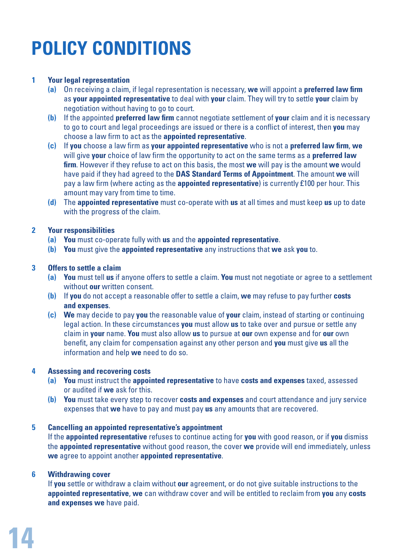# **POLICY CONDITIONS**

### **1 Your legal representation**

- **(a)** On receiving a claim, if legal representation is necessary, **we** will appoint a **preferred law firm** as **your appointed representative** to deal with **your** claim. They will try to settle **your** claim by negotiation without having to go to court.
- **(b)** If the appointed **preferred law firm** cannot negotiate settlement of **your** claim and it is necessary to go to court and legal proceedings are issued or there is a conflict of interest, then **you** may choose a law firm to act as the **appointed representative**.
- **(c)** If **you** choose a law firm as **your appointed representative** who is not a **preferred law firm**, **we** will give **your** choice of law firm the opportunity to act on the same terms as a **preferred law firm**. However if they refuse to act on this basis, the most **we** will pay is the amount **we** would have paid if they had agreed to the **DAS Standard Terms of Appointment**. The amount **we** will pay a law firm (where acting as the **appointed representative**) is currently £100 per hour. This amount may vary from time to time.
- **(d)** The **appointed representative** must co-operate with **us** at all times and must keep **us** up to date with the progress of the claim.

### **2 Your responsibilities**

- **(a) You** must co-operate fully with **us** and the **appointed representative**.
- **(b) You** must give the **appointed representative** any instructions that **we** ask **you** to.

### **3 Offers to settle a claim**

- **(a) You** must tell **us** if anyone offers to settle a claim. **You** must not negotiate or agree to a settlement without **our** written consent.
- **(b)** If **you** do not accept a reasonable offer to settle a claim, **we** may refuse to pay further **costs and expenses**.
- **(c) We** may decide to pay **you** the reasonable value of **your** claim, instead of starting or continuing legal action. In these circumstances **you** must allow **us** to take over and pursue or settle any claim in **your** name. **You** must also allow **us** to pursue at **our** own expense and for **our** own benefit, any claim for compensation against any other person and **you** must give **us** all the information and help **we** need to do so.

### **4 Assessing and recovering costs**

- **(a) You** must instruct the **appointed representative** to have **costs and expenses** taxed, assessed or audited if **we** ask for this.
- **(b) You** must take every step to recover **costs and expenses** and court attendance and jury service expenses that **we** have to pay and must pay **us** any amounts that are recovered.

### **5 Cancelling an appointed representative's appointment**

If the **appointed representative** refuses to continue acting for **you** with good reason, or if **you** dismiss the **appointed representative** without good reason, the cover **we** provide will end immediately, unless **we** agree to appoint another **appointed representative**.

### **6 Withdrawing cover**

If **you** settle or withdraw a claim without **our** agreement, or do not give suitable instructions to the **appointed representative**, **we** can withdraw cover and will be entitled to reclaim from **you** any **costs and expenses we** have paid.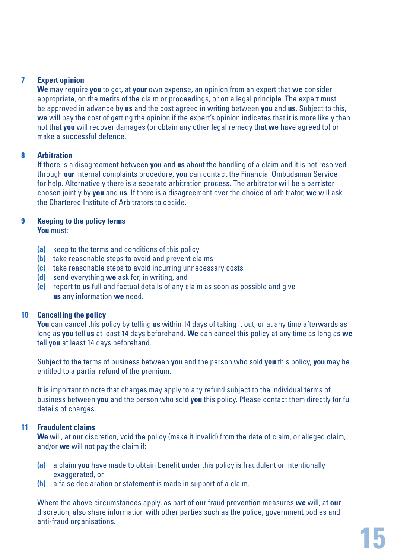### **7 Expert opinion**

 **We** may require **you** to get, at **your** own expense, an opinion from an expert that **we** consider appropriate, on the merits of the claim or proceedings, or on a legal principle. The expert must be approved in advance by **us** and the cost agreed in writing between **you** and **us**. Subject to this, **we** will pay the cost of getting the opinion if the expert's opinion indicates that it is more likely than not that **you** will recover damages (or obtain any other legal remedy that **we** have agreed to) or make a successful defence.

### **8 Arbitration**

If there is a disagreement between **you** and **us** about the handling of a claim and it is not resolved through **our** internal complaints procedure, **you** can contact the Financial Ombudsman Service for help. Alternatively there is a separate arbitration process. The arbitrator will be a barrister chosen jointly by **you** and **us**. If there is a disagreement over the choice of arbitrator, **we** will ask the Chartered Institute of Arbitrators to decide.

### **9 Keeping to the policy terms**

**You** must:

- **(a)** keep to the terms and conditions of this policy
- **(b)** take reasonable steps to avoid and prevent claims
- **(c)** take reasonable steps to avoid incurring unnecessary costs
- **(d)** send everything **we** ask for, in writing, and
- **(e)** report to **us** full and factual details of any claim as soon as possible and give **us** any information **we** need.

### **10 Cancelling the policy**

**You** can cancel this policy by telling **us** within 14 days of taking it out, or at any time afterwards as long as **you** tell **us** at least 14 days beforehand. **We** can cancel this policy at any time as long as **we** tell **you** at least 14 days beforehand.

Subject to the terms of business between **you** and the person who sold **you** this policy, **you** may be entitled to a partial refund of the premium.

It is important to note that charges may apply to any refund subject to the individual terms of business between **you** and the person who sold **you** this policy. Please contact them directly for full details of charges.

### **11 Fraudulent claims**

 **We** will, at **our** discretion, void the policy (make it invalid) from the date of claim, or alleged claim, and/or **we** will not pay the claim if:

- **(a)** a claim **you** have made to obtain benefit under this policy is fraudulent or intentionally exaggerated, or
- **(b)** a false declaration or statement is made in support of a claim.

Where the above circumstances apply, as part of **our** fraud prevention measures **we** will, at **our** discretion, also share information with other parties such as the police, government bodies and anti-fraud organisations.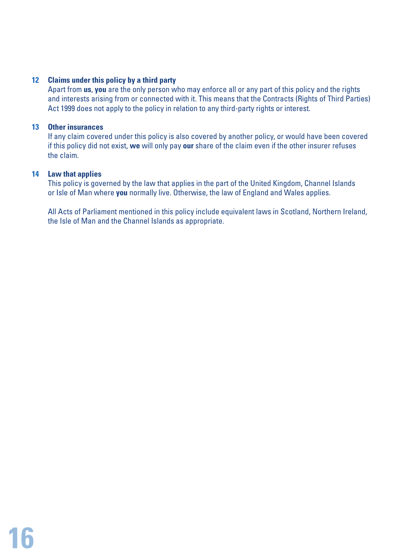### **12 Claims under this policy by a third party**

Apart from **us**, **you** are the only person who may enforce all or any part of this policy and the rights and interests arising from or connected with it. This means that the Contracts (Rights of Third Parties) Act 1999 does not apply to the policy in relation to any third-party rights or interest.

### **13 Other insurances**

If any claim covered under this policy is also covered by another policy, or would have been covered if this policy did not exist, **we** will only pay **our** share of the claim even if the other insurer refuses the claim.

#### **14 Law that applies**

This policy is governed by the law that applies in the part of the United Kingdom, Channel Islands or Isle of Man where **you** normally live. Otherwise, the law of England and Wales applies.

All Acts of Parliament mentioned in this policy include equivalent laws in Scotland, Northern Ireland, the Isle of Man and the Channel Islands as appropriate.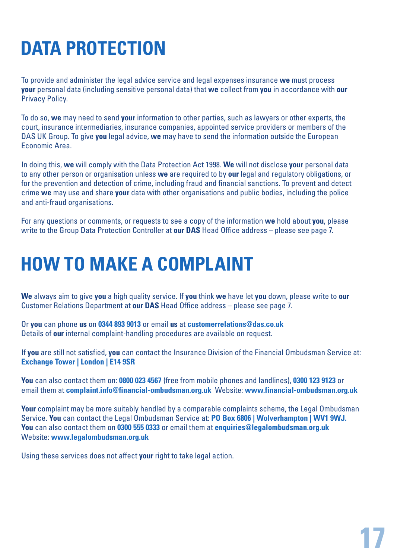# **DATA PROTECTION**

To provide and administer the legal advice service and legal expenses insurance **we** must process **your** personal data (including sensitive personal data) that **we** collect from **you** in accordance with **our** Privacy Policy.

To do so, **we** may need to send **your** information to other parties, such as lawyers or other experts, the court, insurance intermediaries, insurance companies, appointed service providers or members of the DAS UK Group. To give **you** legal advice, **we** may have to send the information outside the European Economic Area.

In doing this, **we** will comply with the Data Protection Act 1998. **We** will not disclose **your** personal data to any other person or organisation unless **we** are required to by **our** legal and regulatory obligations, or for the prevention and detection of crime, including fraud and financial sanctions. To prevent and detect crime **we** may use and share **your** data with other organisations and public bodies, including the police and anti-fraud organisations.

For any questions or comments, or requests to see a copy of the information **we** hold about **you**, please write to the Group Data Protection Controller at **our DAS** Head Office address – please see page 7.

### **HOW TO MAKE A COMPLAINT**

**We** always aim to give **you** a high quality service. If **you** think **we** have let **you** down, please write to **our** Customer Relations Department at **our DAS** Head Office address – please see page 7.

Or **you** can phone **us** on **0344 893 9013** or email **us** at **customerrelations@das.co.uk** Details of **our** internal complaint-handling procedures are available on request.

If **you** are still not satisfied, **you** can contact the Insurance Division of the Financial Ombudsman Service at: **Exchange Tower | London | E14 9SR**

**You** can also contact them on: **0800 023 4567** (free from mobile phones and landlines), **0300 123 9123** or email them at **complaint.info@financial-ombudsman.org.uk** Website: **www.financial-ombudsman.org.uk**

Your complaint may be more suitably handled by a comparable complaints scheme, the Legal Ombudsman Service. **You** can contact the Legal Ombudsman Service at: **PO Box 6806 | Wolverhampton | WV1 9WJ. You** can also contact them on **0300 555 0333** or email them at **enquiries@legalombudsman.org.uk** Website: **www.legalombudsman.org.uk**

Using these services does not affect **your** right to take legal action.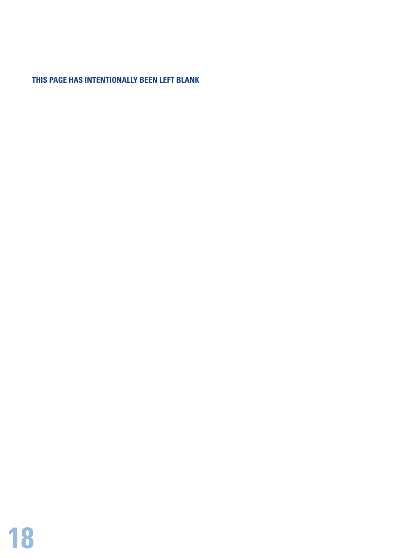**THIS PAGE HAS INTENTIONALLY BEEN LEFT BLANK**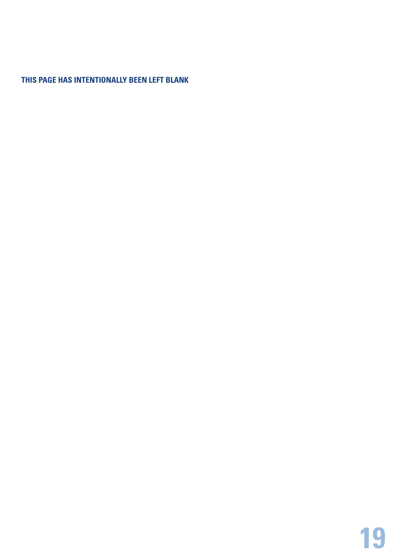**THIS PAGE HAS INTENTIONALLY BEEN LEFT BLANK**